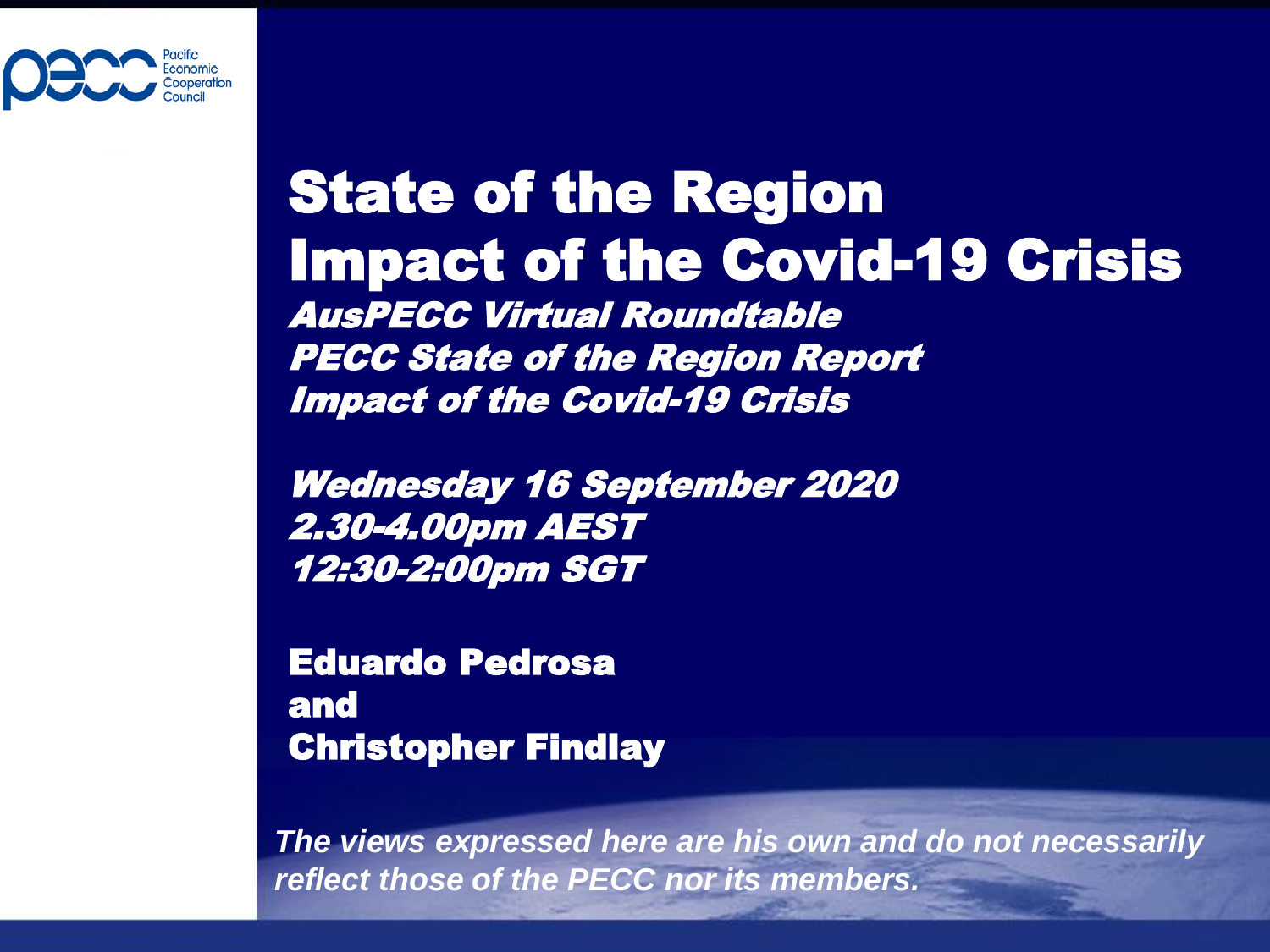

### State of the Region Impact of the Covid-19 Crisis AusPECC Virtual Roundtable PECC State of the Region Report Impact of the Covid-19 Crisis

Wednesday 16 September 2020 2.30-4.00pm AEST 12:30-2:00pm SGT

Eduardo Pedrosa and Christopher Findlay

*The views expressed here are his own and do not necessarily reflect those of the PECC nor its members.*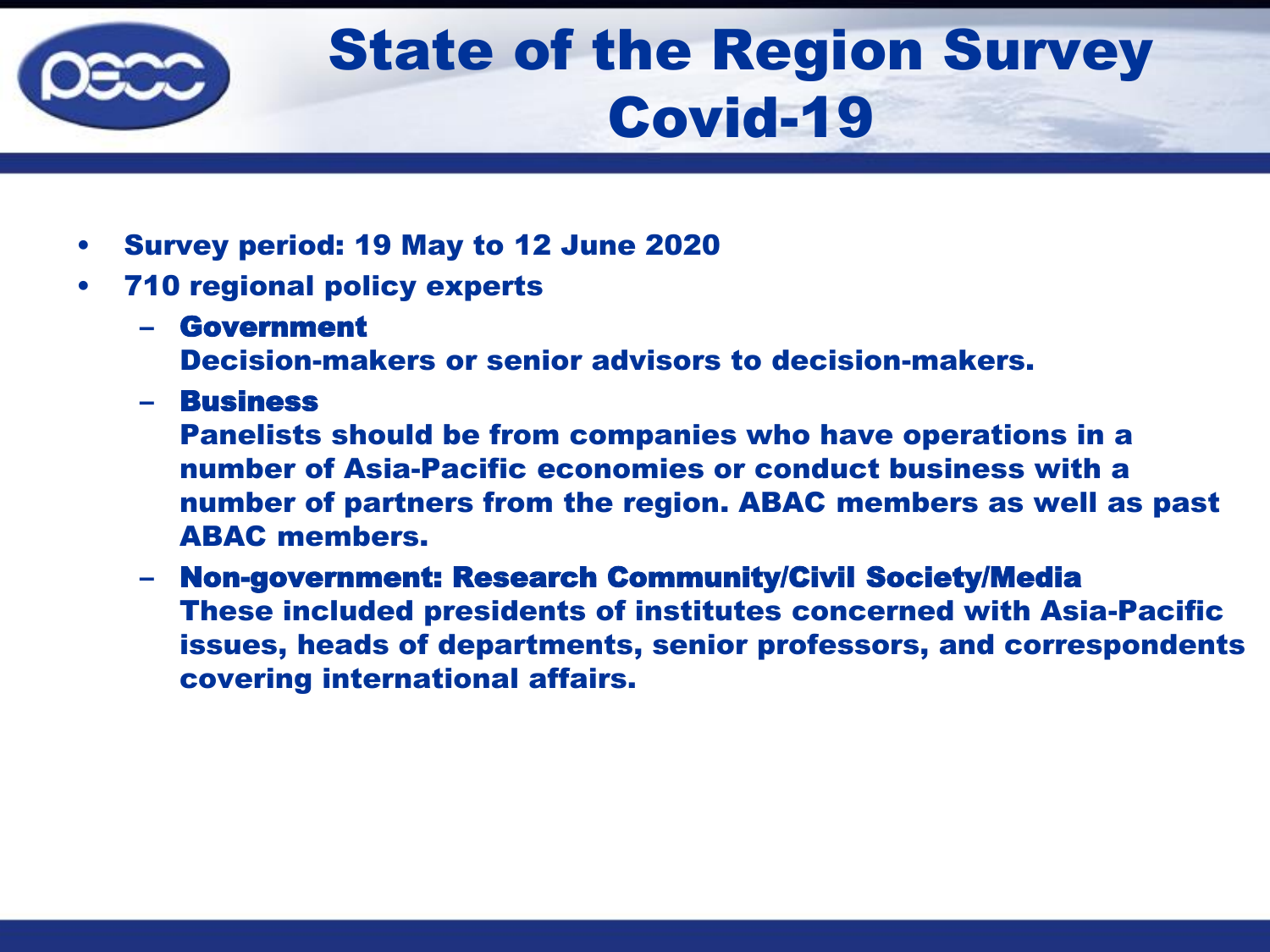

# State of the Region Survey Covid-19

- Survey period: 19 May to 12 June 2020
- 710 regional policy experts
	- Government

Decision-makers or senior advisors to decision-makers.

– Business

Panelists should be from companies who have operations in a number of Asia-Pacific economies or conduct business with a number of partners from the region. ABAC members as well as past ABAC members.

– Non-government: Research Community/Civil Society/Media These included presidents of institutes concerned with Asia-Pacific issues, heads of departments, senior professors, and correspondents covering international affairs.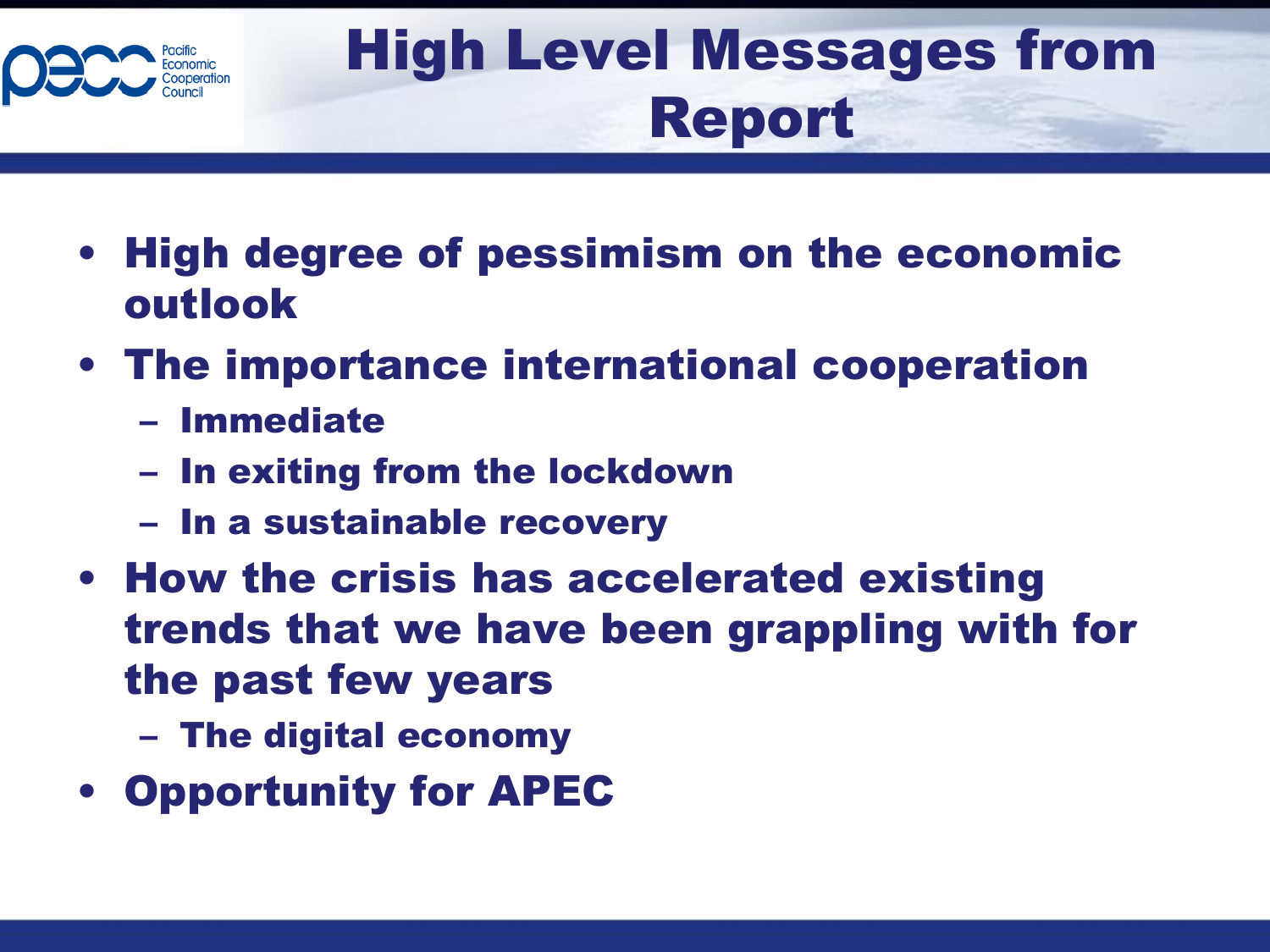

# High Level Messages from Report

- High degree of pessimism on the economic outlook
- The importance international cooperation
	- Immediate
	- In exiting from the lockdown
	- In a sustainable recovery
- How the crisis has accelerated existing trends that we have been grappling with for the past few years
	- The digital economy
- Opportunity for APEC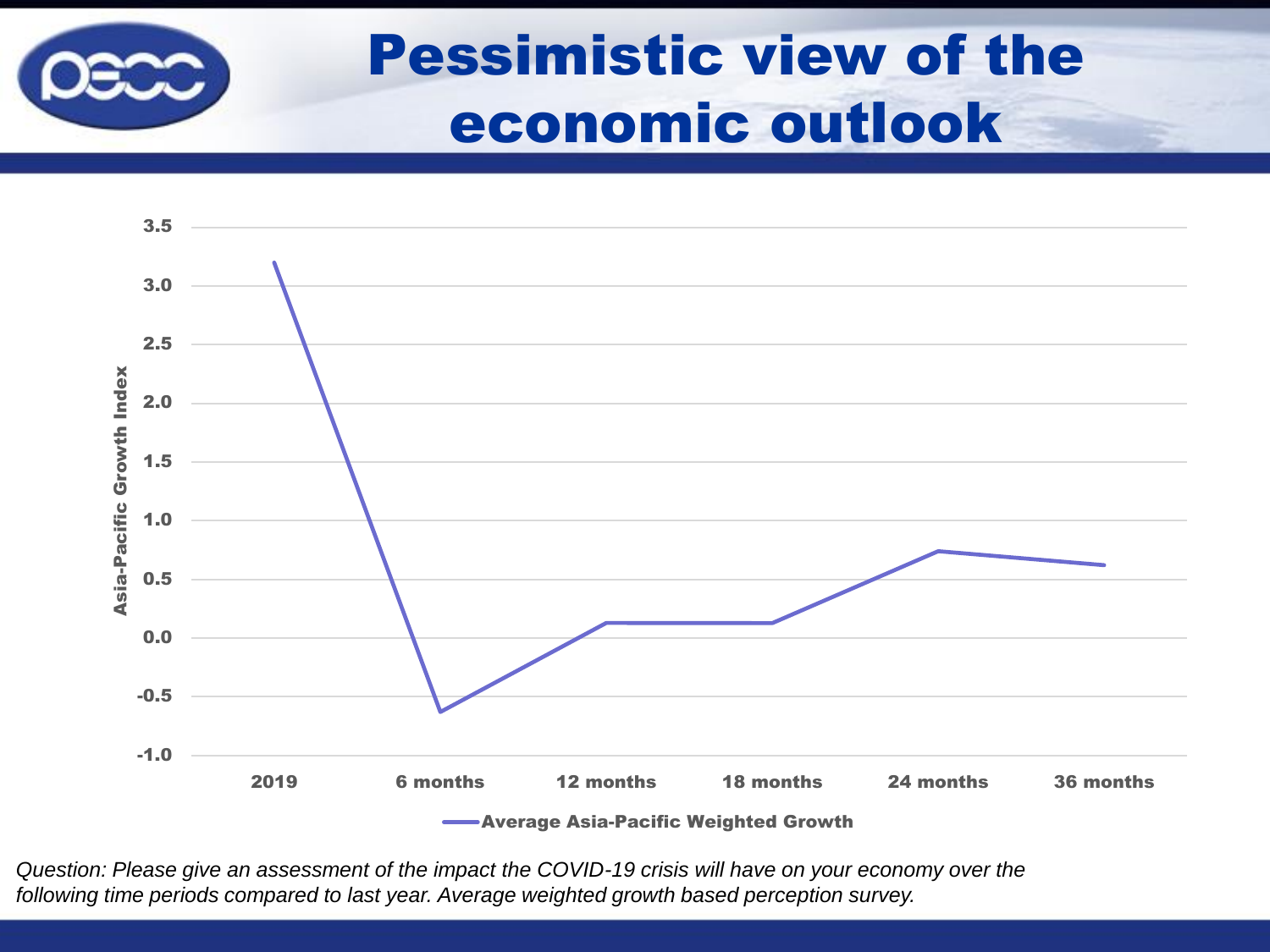

# Pessimistic view of the economic outlook



*Question: Please give an assessment of the impact the COVID-19 crisis will have on your economy over the following time periods compared to last year. Average weighted growth based perception survey.*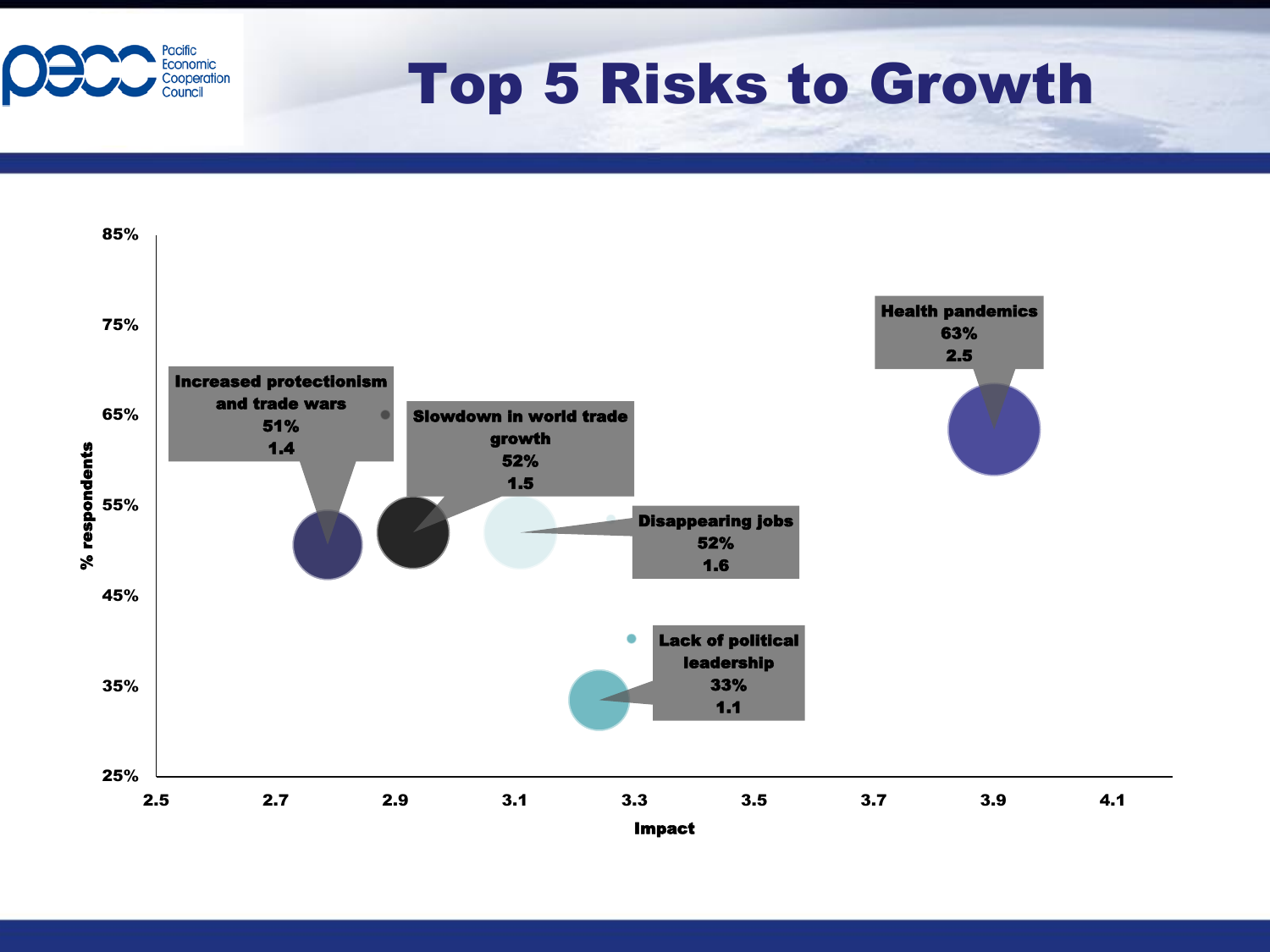

# Top 5 Risks to Growth

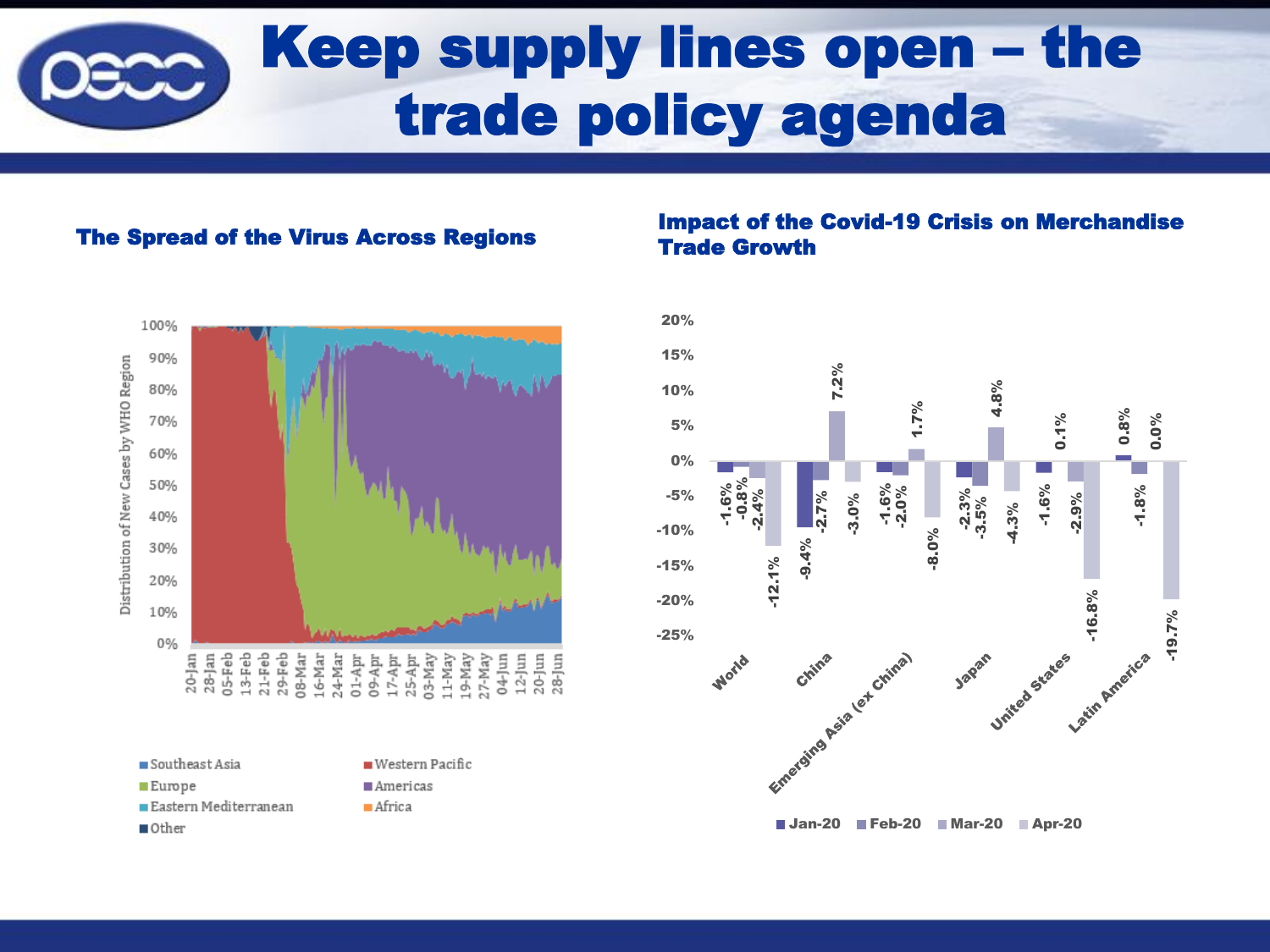





#### **The Spread of the Virus Across Regions** Impact of the Covid-19 Crisis on Merchandise Trade Growth



 $\blacksquare$  Jan-20  $\blacksquare$  Feb-20  $\blacksquare$  Mar-20  $\blacksquare$  Apr-20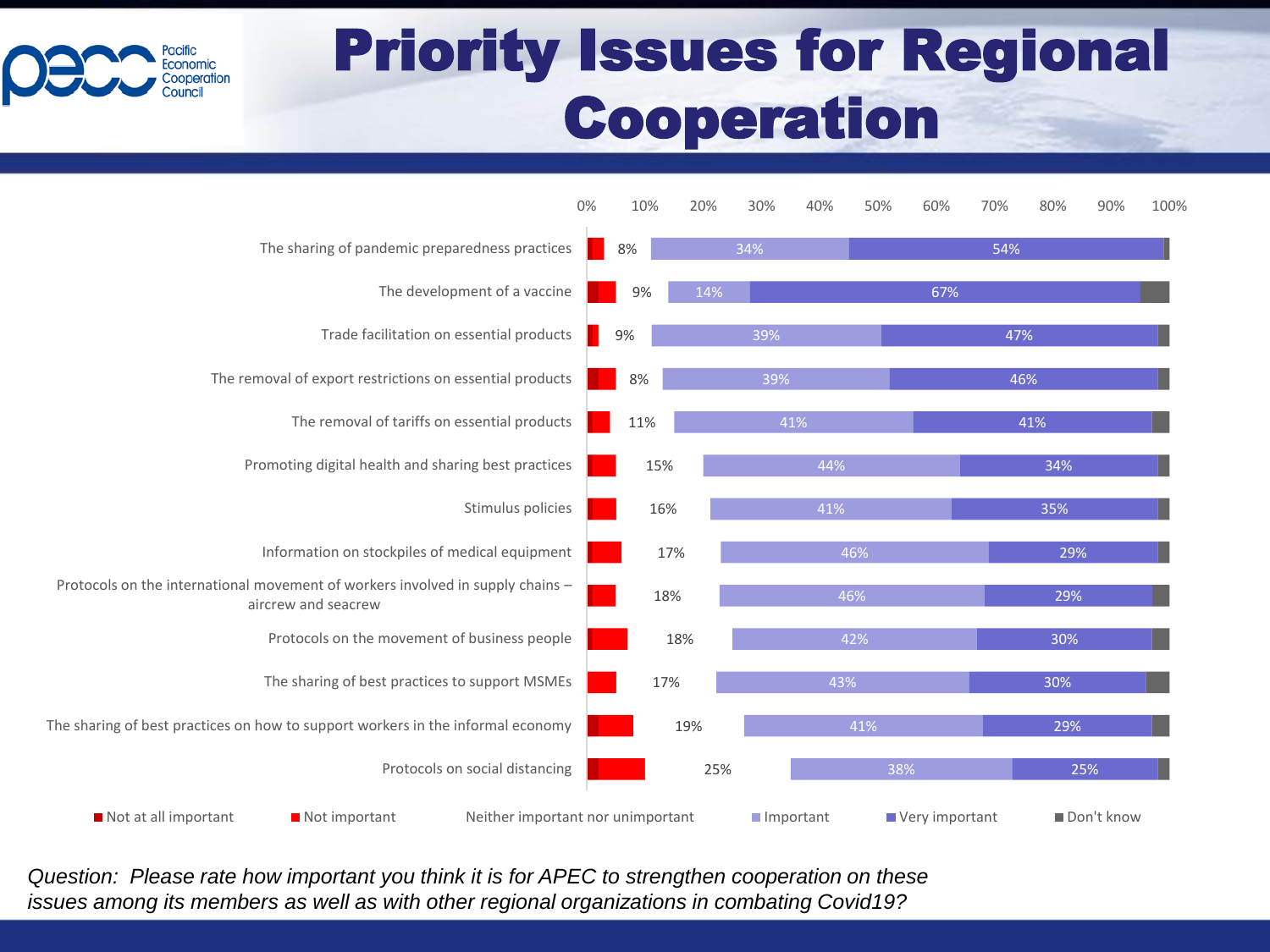# Priority Issues for Regional Cooperation





*Question: Please rate how important you think it is for APEC to strengthen cooperation on these issues among its members as well as with other regional organizations in combating Covid19?*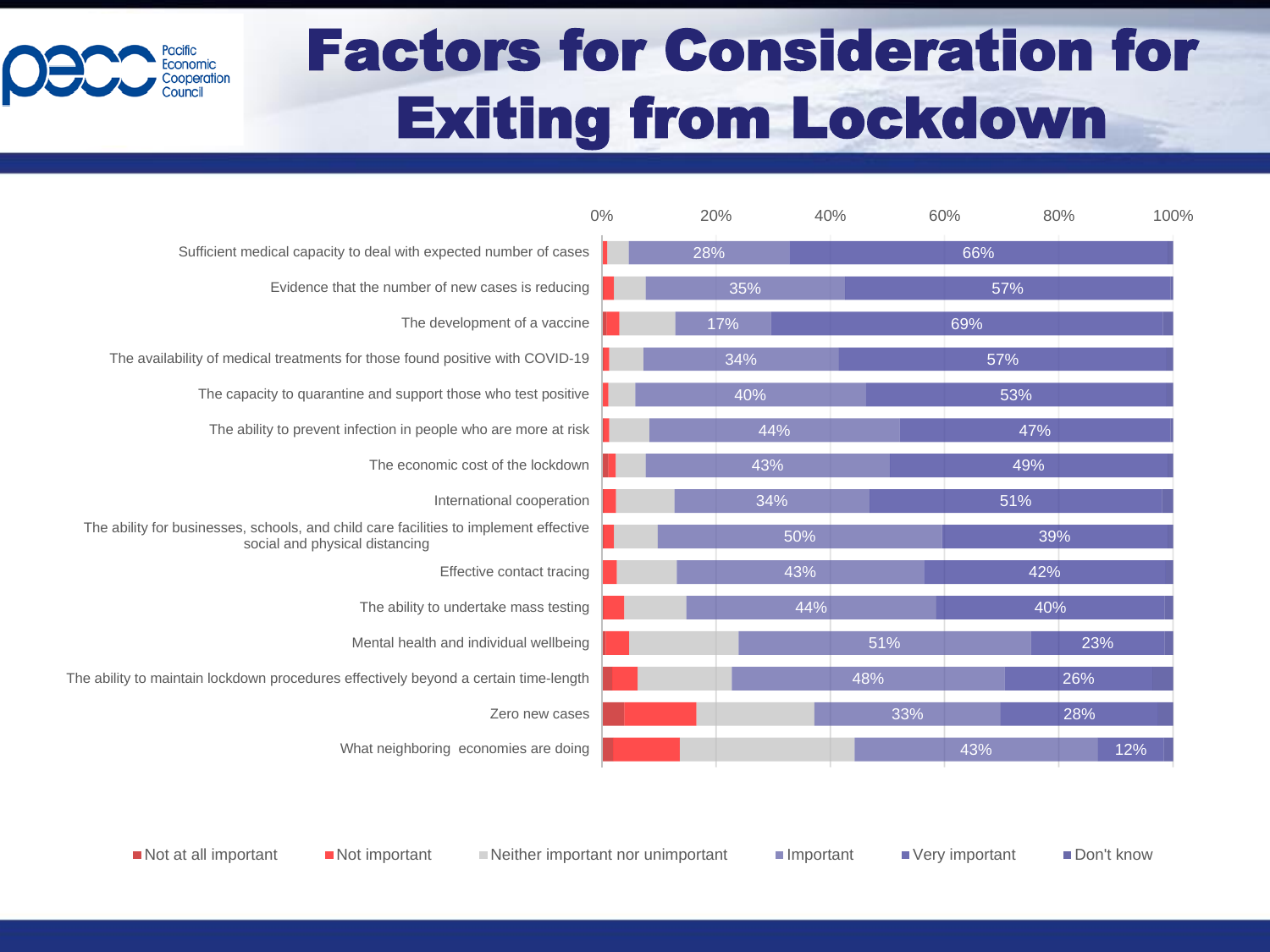# Factors for Consideration for Exiting from Lockdown



|                                                                                                                         | $0\%$ | 20% | 40% |     | 60% | 80% | 100% |
|-------------------------------------------------------------------------------------------------------------------------|-------|-----|-----|-----|-----|-----|------|
| Sufficient medical capacity to deal with expected number of cases                                                       |       | 28% |     | 66% |     |     |      |
| Evidence that the number of new cases is reducing                                                                       |       | 35% |     |     | 57% |     |      |
| The development of a vaccine                                                                                            |       | 17% |     |     | 69% |     |      |
| The availability of medical treatments for those found positive with COVID-19                                           |       | 34% |     |     | 57% |     |      |
| The capacity to quarantine and support those who test positive                                                          |       | 40% |     |     | 53% |     |      |
| The ability to prevent infection in people who are more at risk                                                         |       | 44% |     |     | 47% |     |      |
| The economic cost of the lockdown                                                                                       |       | 43% |     |     | 49% |     |      |
| International cooperation                                                                                               |       | 34% |     |     | 51% |     |      |
| The ability for businesses, schools, and child care facilities to implement effective<br>social and physical distancing |       |     | 50% |     |     | 39% |      |
| Effective contact tracing                                                                                               |       | 43% |     |     | 42% |     |      |
| The ability to undertake mass testing                                                                                   |       | 44% |     |     | 40% |     |      |
| Mental health and individual wellbeing                                                                                  |       |     |     | 51% |     | 23% |      |
| The ability to maintain lockdown procedures effectively beyond a certain time-length                                    |       |     |     | 48% |     | 26% |      |
| Zero new cases                                                                                                          |       |     |     | 33% |     | 28% |      |
| What neighboring economies are doing                                                                                    |       |     |     |     | 43% | 12% |      |
|                                                                                                                         |       |     |     |     |     |     |      |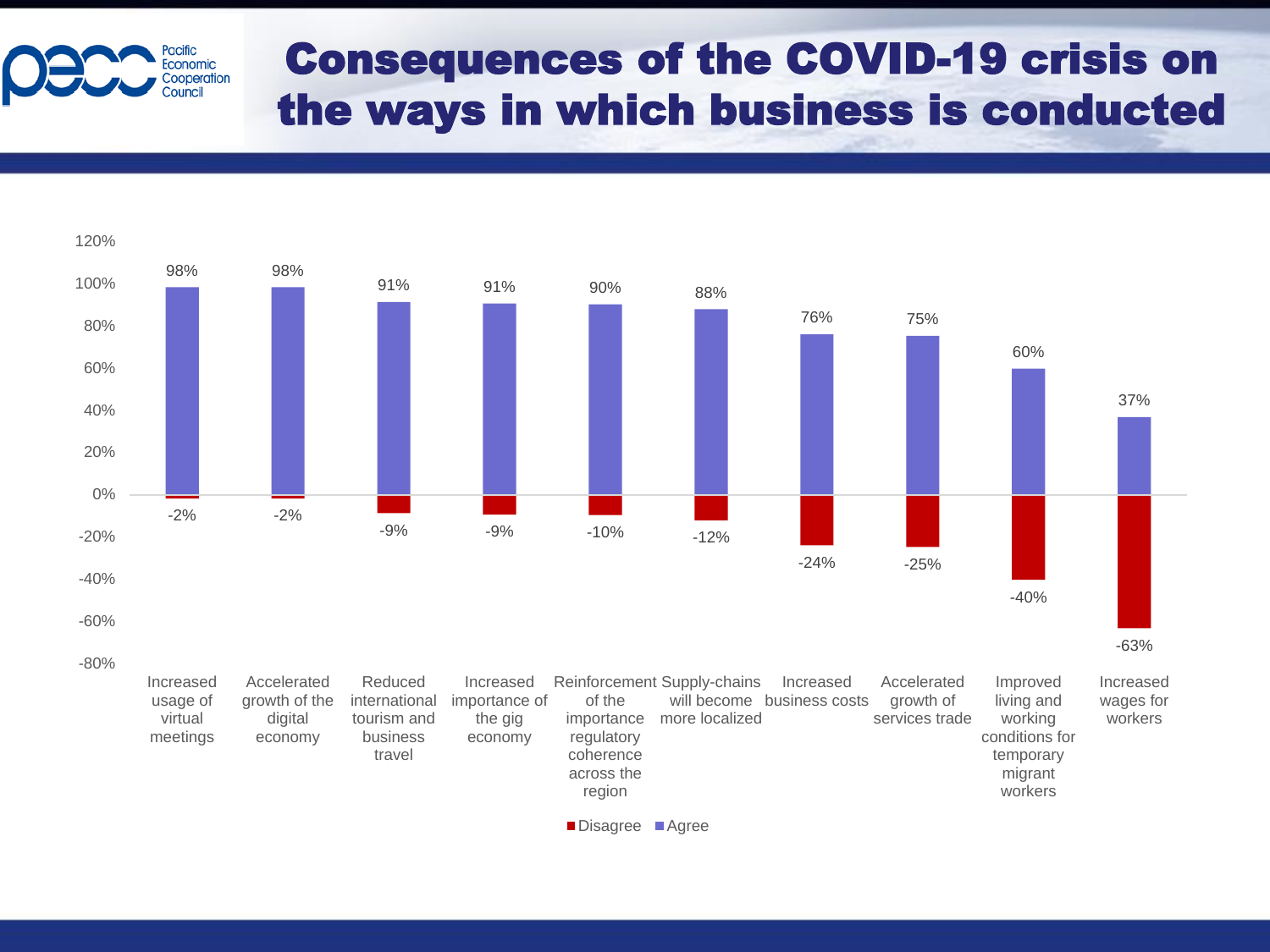**Pacific** Economic Cooperation Council

### Consequences of the COVID-19 crisis on the ways in which business is conducted



Disagree **Agree**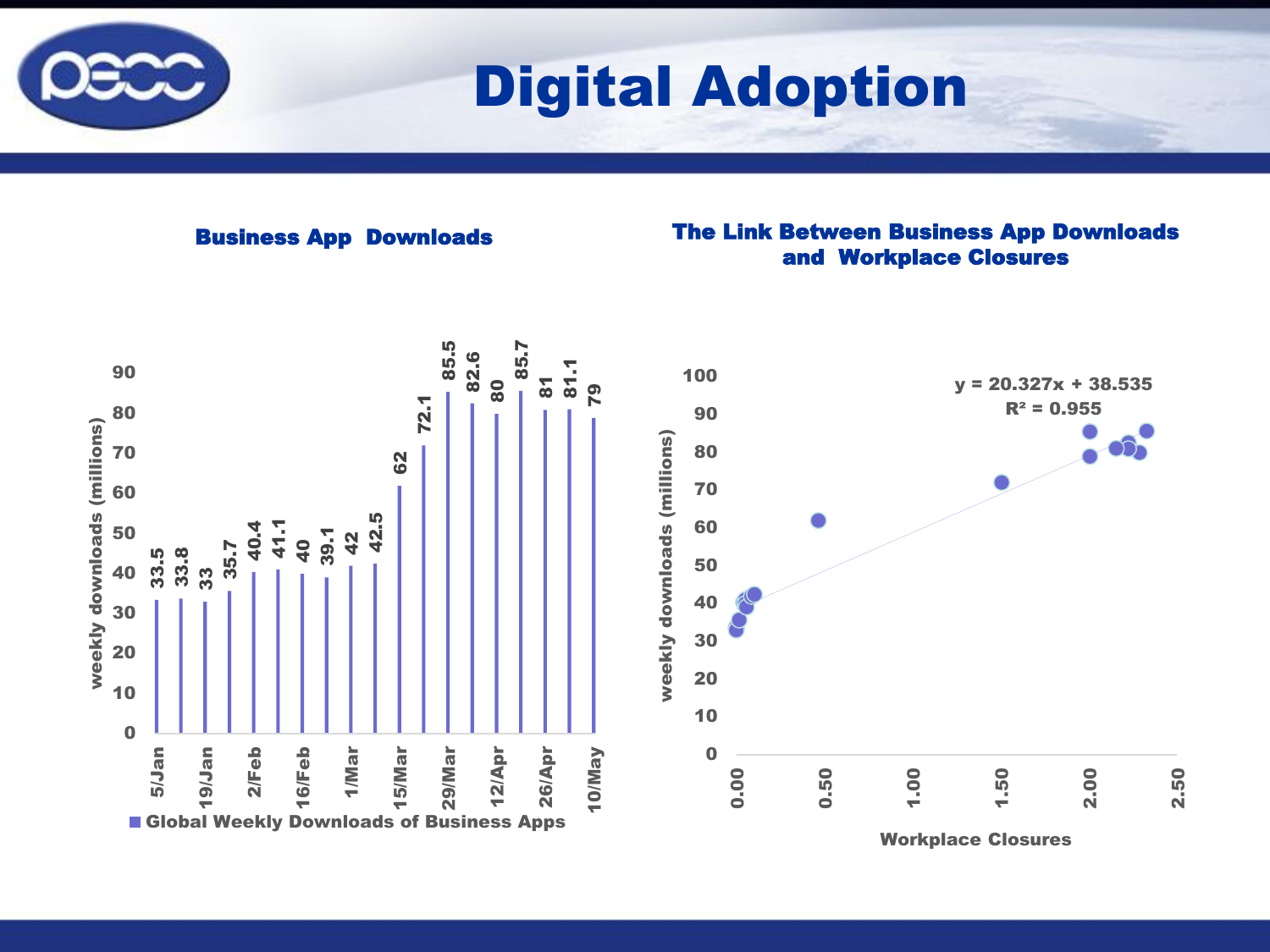

# Digital Adoption

#### Business App Downloads

#### The Link Between Business App Downloads and Workplace Closures

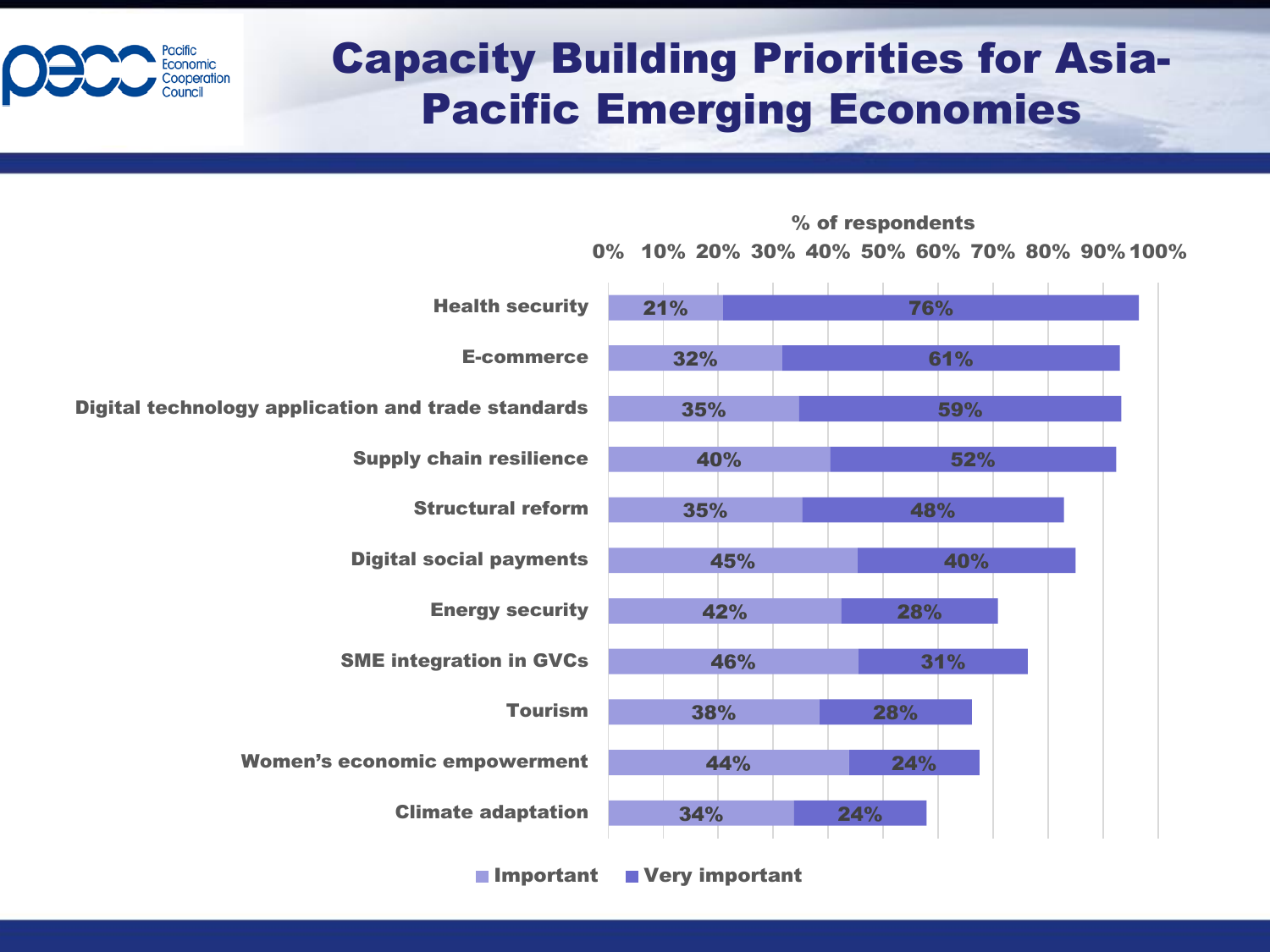#### Capacity Building Priorities for Asia-Pacific Emerging Economies



Economic Cooperation

0% 10% 20% 30% 40% 50% 60% 70% 80% 90%100%

% of respondents

■ Important ■ Very important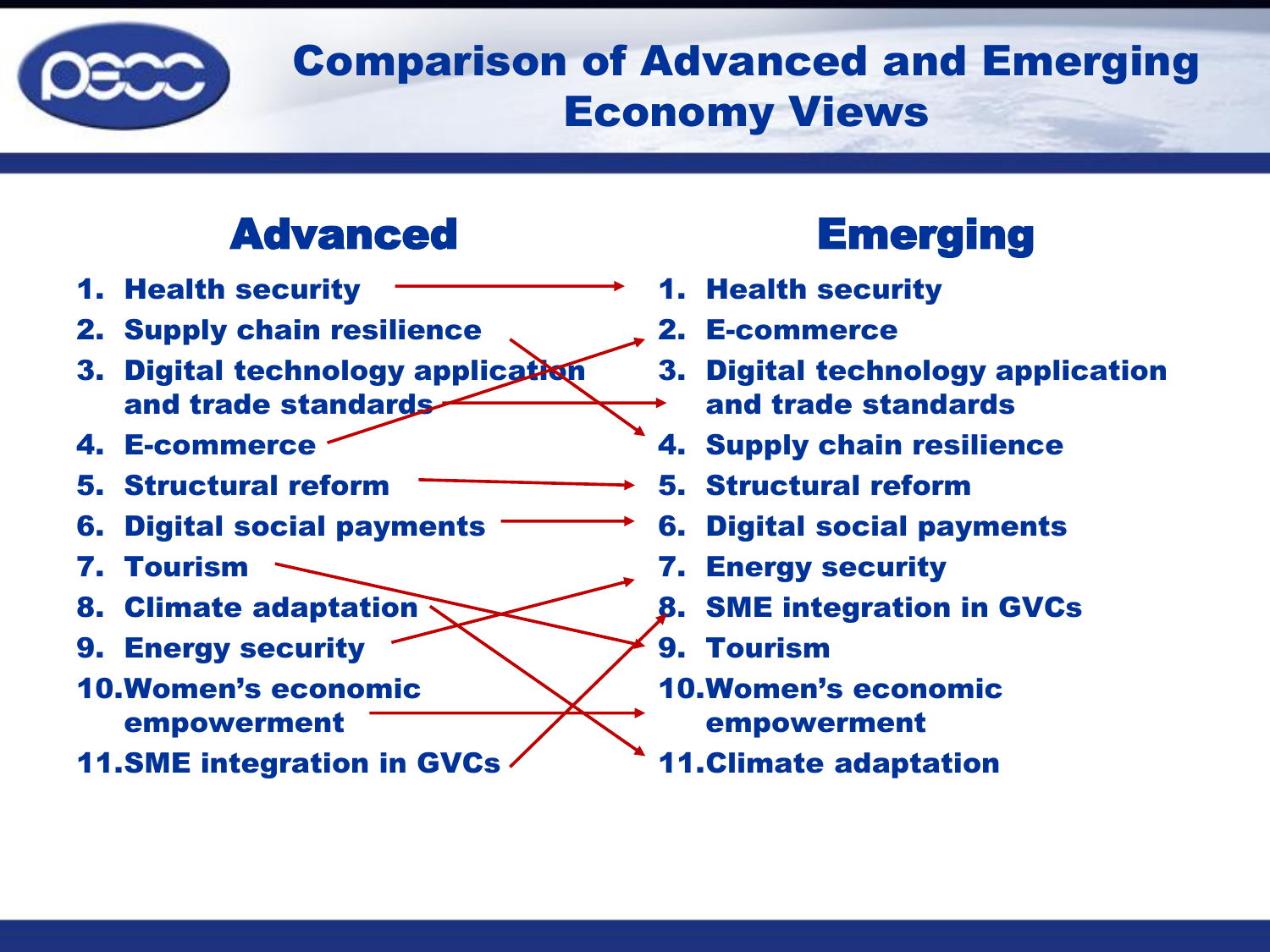

### Comparison of Advanced and Emerging Economy Views

#### Advanced

- 1. Health security
- 2. Supply chain resilience
- 3. Digital technology application and trade standards
- 4. E-commerce
- 5. Structural reform
- 6. Digital social payments
- 7. Tourism
- 8. Climate adaptation
- 9. Energy security
- 10.Women's economic empowerment

11.SME integration in GVCs

## **Emerging**

- 1. Health security
- 2. E-commerce
- 3. Digital technology application and trade standards
- 4. Supply chain resilience
- 5. Structural reform
- 6. Digital social payments
- 7. Energy security
- 8. SME integration in GVCs
- 9. Tourism
- 10.Women's economic empowerment
- 11.Climate adaptation